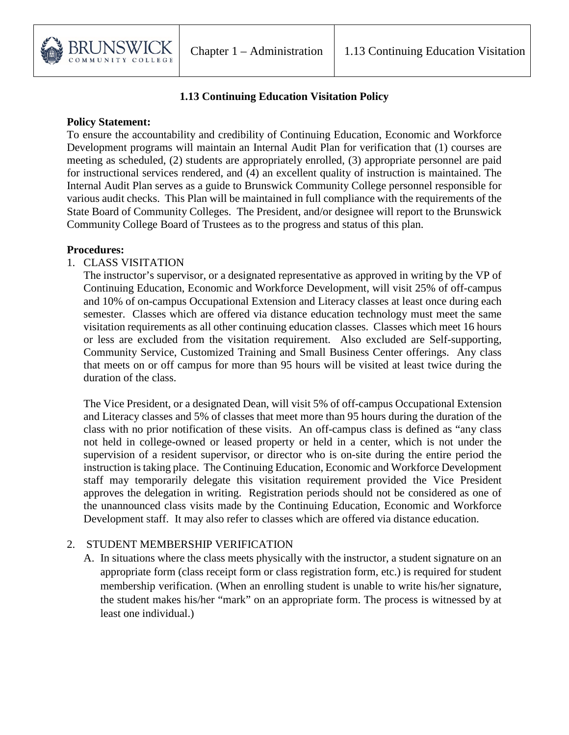

### **1.13 Continuing Education Visitation Policy**

#### **Policy Statement:**

To ensure the accountability and credibility of Continuing Education, Economic and Workforce Development programs will maintain an Internal Audit Plan for verification that (1) courses are meeting as scheduled, (2) students are appropriately enrolled, (3) appropriate personnel are paid for instructional services rendered, and (4) an excellent quality of instruction is maintained. The Internal Audit Plan serves as a guide to Brunswick Community College personnel responsible for various audit checks. This Plan will be maintained in full compliance with the requirements of the State Board of Community Colleges. The President, and/or designee will report to the Brunswick Community College Board of Trustees as to the progress and status of this plan.

#### **Procedures:**

#### 1. CLASS VISITATION

The instructor's supervisor, or a designated representative as approved in writing by the VP of Continuing Education, Economic and Workforce Development, will visit 25% of off-campus and 10% of on-campus Occupational Extension and Literacy classes at least once during each semester. Classes which are offered via distance education technology must meet the same visitation requirements as all other continuing education classes. Classes which meet 16 hours or less are excluded from the visitation requirement. Also excluded are Self-supporting, Community Service, Customized Training and Small Business Center offerings. Any class that meets on or off campus for more than 95 hours will be visited at least twice during the duration of the class.

The Vice President, or a designated Dean, will visit 5% of off-campus Occupational Extension and Literacy classes and 5% of classes that meet more than 95 hours during the duration of the class with no prior notification of these visits. An off-campus class is defined as "any class not held in college-owned or leased property or held in a center, which is not under the supervision of a resident supervisor, or director who is on-site during the entire period the instruction is taking place. The Continuing Education, Economic and Workforce Development staff may temporarily delegate this visitation requirement provided the Vice President approves the delegation in writing. Registration periods should not be considered as one of the unannounced class visits made by the Continuing Education, Economic and Workforce Development staff. It may also refer to classes which are offered via distance education.

### 2. STUDENT MEMBERSHIP VERIFICATION

A. In situations where the class meets physically with the instructor, a student signature on an appropriate form (class receipt form or class registration form, etc.) is required for student membership verification. (When an enrolling student is unable to write his/her signature, the student makes his/her "mark" on an appropriate form. The process is witnessed by at least one individual.)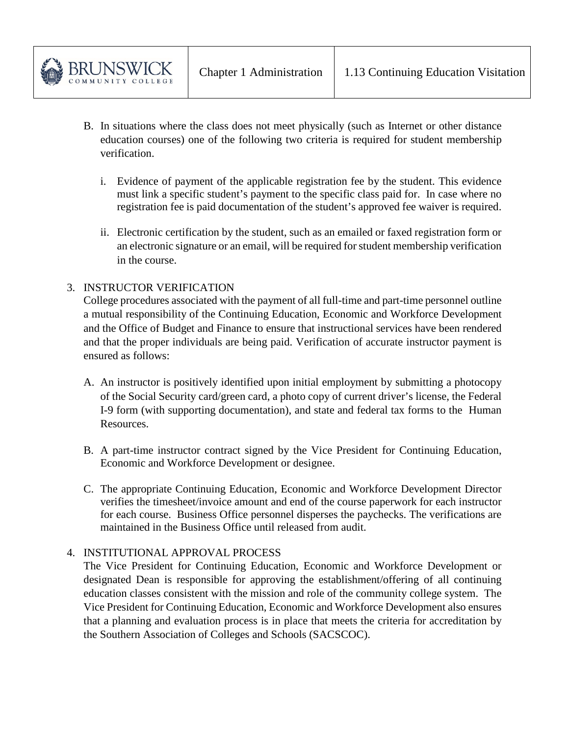- B. In situations where the class does not meet physically (such as Internet or other distance education courses) one of the following two criteria is required for student membership verification.
	- i. Evidence of payment of the applicable registration fee by the student. This evidence must link a specific student's payment to the specific class paid for. In case where no registration fee is paid documentation of the student's approved fee waiver is required.
	- ii. Electronic certification by the student, such as an emailed or faxed registration form or an electronic signature or an email, will be required for student membership verification in the course.

# 3. INSTRUCTOR VERIFICATION

College procedures associated with the payment of all full-time and part-time personnel outline a mutual responsibility of the Continuing Education, Economic and Workforce Development and the Office of Budget and Finance to ensure that instructional services have been rendered and that the proper individuals are being paid. Verification of accurate instructor payment is ensured as follows:

- A. An instructor is positively identified upon initial employment by submitting a photocopy of the Social Security card/green card, a photo copy of current driver's license, the Federal I-9 form (with supporting documentation), and state and federal tax forms to the Human Resources.
- B. A part-time instructor contract signed by the Vice President for Continuing Education, Economic and Workforce Development or designee.
- C. The appropriate Continuing Education, Economic and Workforce Development Director verifies the timesheet/invoice amount and end of the course paperwork for each instructor for each course. Business Office personnel disperses the paychecks. The verifications are maintained in the Business Office until released from audit.

### 4. INSTITUTIONAL APPROVAL PROCESS

The Vice President for Continuing Education, Economic and Workforce Development or designated Dean is responsible for approving the establishment/offering of all continuing education classes consistent with the mission and role of the community college system. The Vice President for Continuing Education, Economic and Workforce Development also ensures that a planning and evaluation process is in place that meets the criteria for accreditation by the Southern Association of Colleges and Schools (SACSCOC).